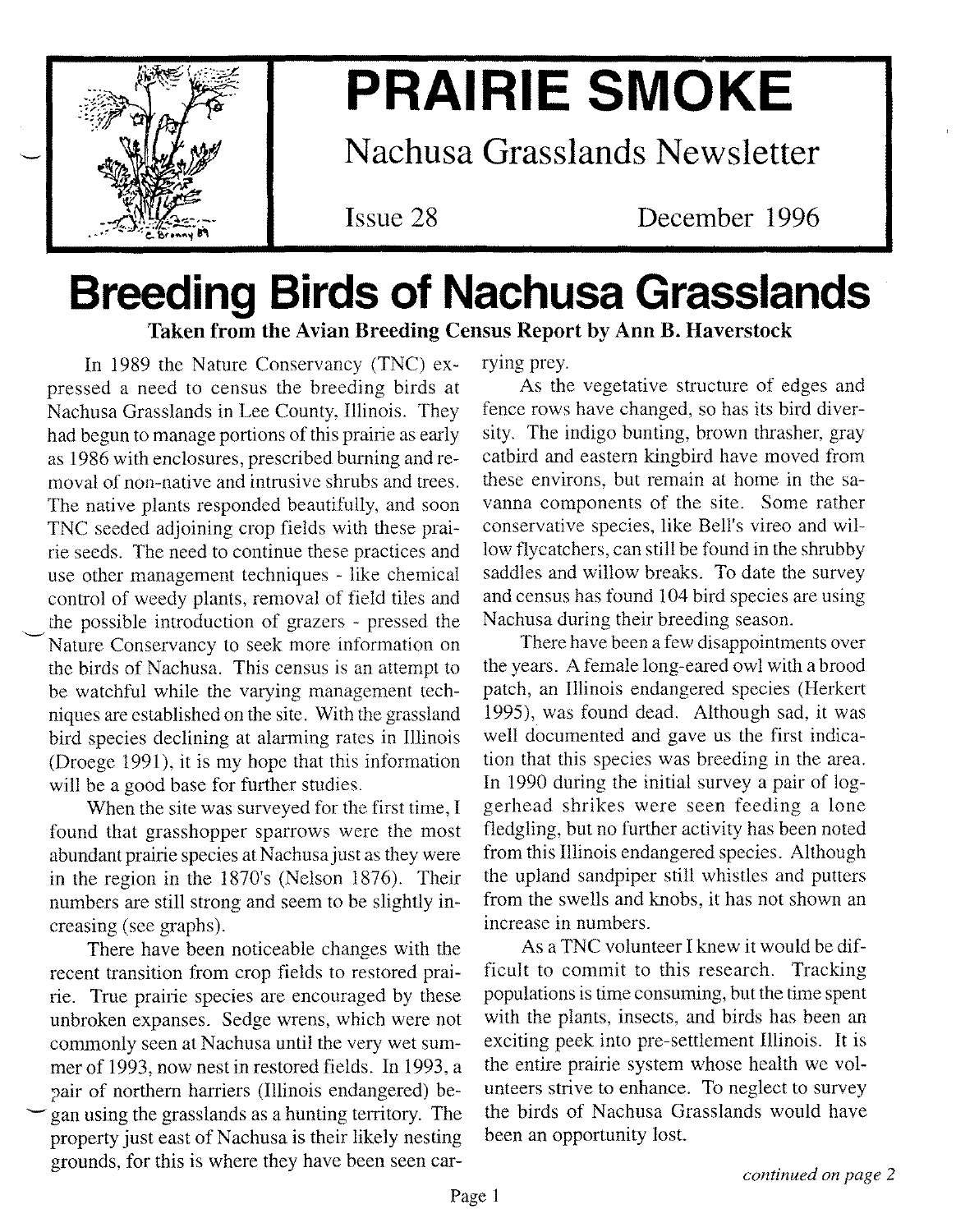

'-'

# **PRAIRIE SMOKE**

Nachusa Grasslands Newsletter

Issue 28

December 1996

# **Breeding Birds of Nachusa Grasslands** Taken from the Avian Breeding Census Report by Ann B. Haverstock

In 1989 the Nature Conservancy (TNC) expressed a need to census the breeding birds at Nachusa Grasslands in Lee County, Illinois. They had begun to manage portions of this prairie as early as 1986 with enclosures, prescribed burning and removal of non-native and intrusive shrubs and trees. The native plants responded beautifully, and soon TNC seeded adjoining crop fields with these prairie seeds. The need to continue these practices and use other management techniques - like chemical control of weedy plants, removal of field tiles and the possible introduction of grazers - pressed the Nature Conservancy to seek more information on the birds of Nachusa. This census is an attempt to be watchful while the varying management techniques are established on the site. With the grassland bird species declining at alarming rates in Illinois (Droege 1991), it is my hope that this information will be a good base for further studies.

When the site was surveyed for the first time, I found that grasshopper sparrows were the most abundant prairie species at Nachusa just as they were in the region in the 1870's (Nelson 1876). Their numbers are still strong and seem to be slightly increasing (see graphs).

There have been noticeable changes with the recent transition from crop fields to restored prairie. True prairie species are encouraged by these unbroken expanses. Sedge wrens, which were not commonly seen at Nachusa until the very wet summer of 1993, now nest in restored fields. In 1993, a pair of northern harriers (Illinois endangered) be gan using the grasslands as a hunting territory. The property just east of Nachusa is their likely nesting grounds, for this is where they have been seen carrying prey.

As the vegetative structure of edges and fence rows have changed, so has its bird diversity. The indigo bunting, brown thrasher, gray catbird and eastern kingbird have moved from these environs, but remain at home in the savanna components of the site. Some rather conservative species, like Bell's vireo and willow flycatchers, can still be found in the shrubby saddles and willow breaks. To date the survey and census has found 104 bird species are using Nachusa during their breeding season.

There have been a few disappointments over the years. A female long-eared owl with a brood patch, an Illinois endangered species (Herkert 1995), was found dead. Although sad, it was well documented and gave us the first indication that this species was breeding in the area. In 1990 during the initial survey a pair of loggerhead shrikes were seen feeding a lone fledgling, but no further activity has been noted from this Illinois endangered species. Although the upland sandpiper still whistles and putters from the swells and knobs, it has not shown an increase in numbers.

As a TNC volunteer I knew it would be difficult to commit to this research. Tracking populations is time consuming, but the time spent with the plants, insects, and birds has been an exciting peek into pre-settlement Illinois. It is the entire prairie system whose health we volunteers strive to enhance. To neglect to survey the birds of Nachusa Grasslands would have been an opportunity lost.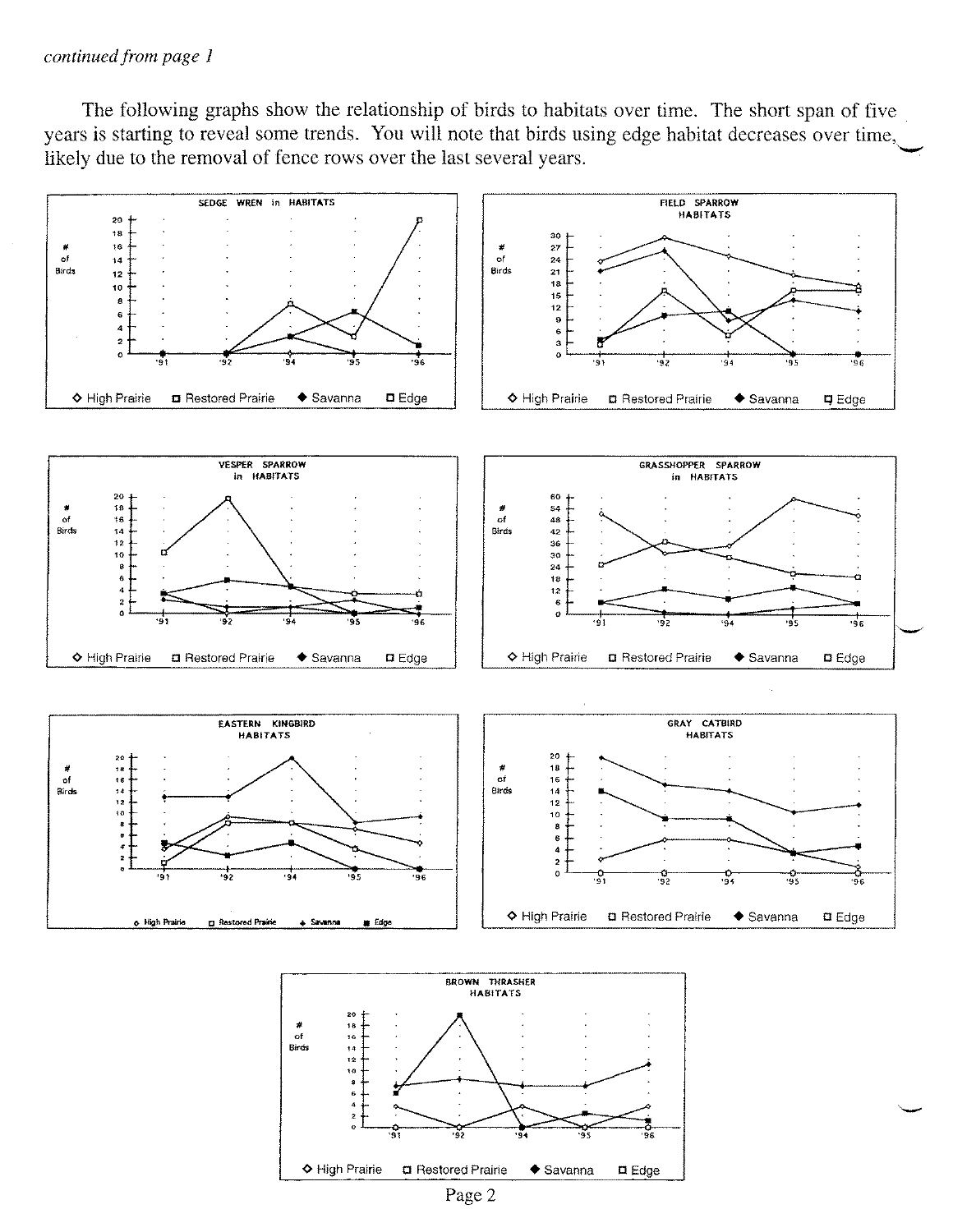#### *continued from page 1*

The following graphs show the relationship of birds to habitats over time. The short span of five years is starting to reveal some trends. You will note that birds using edge habitat decreases over time, likely due to the removal of fence rows over the last several years.





Page 2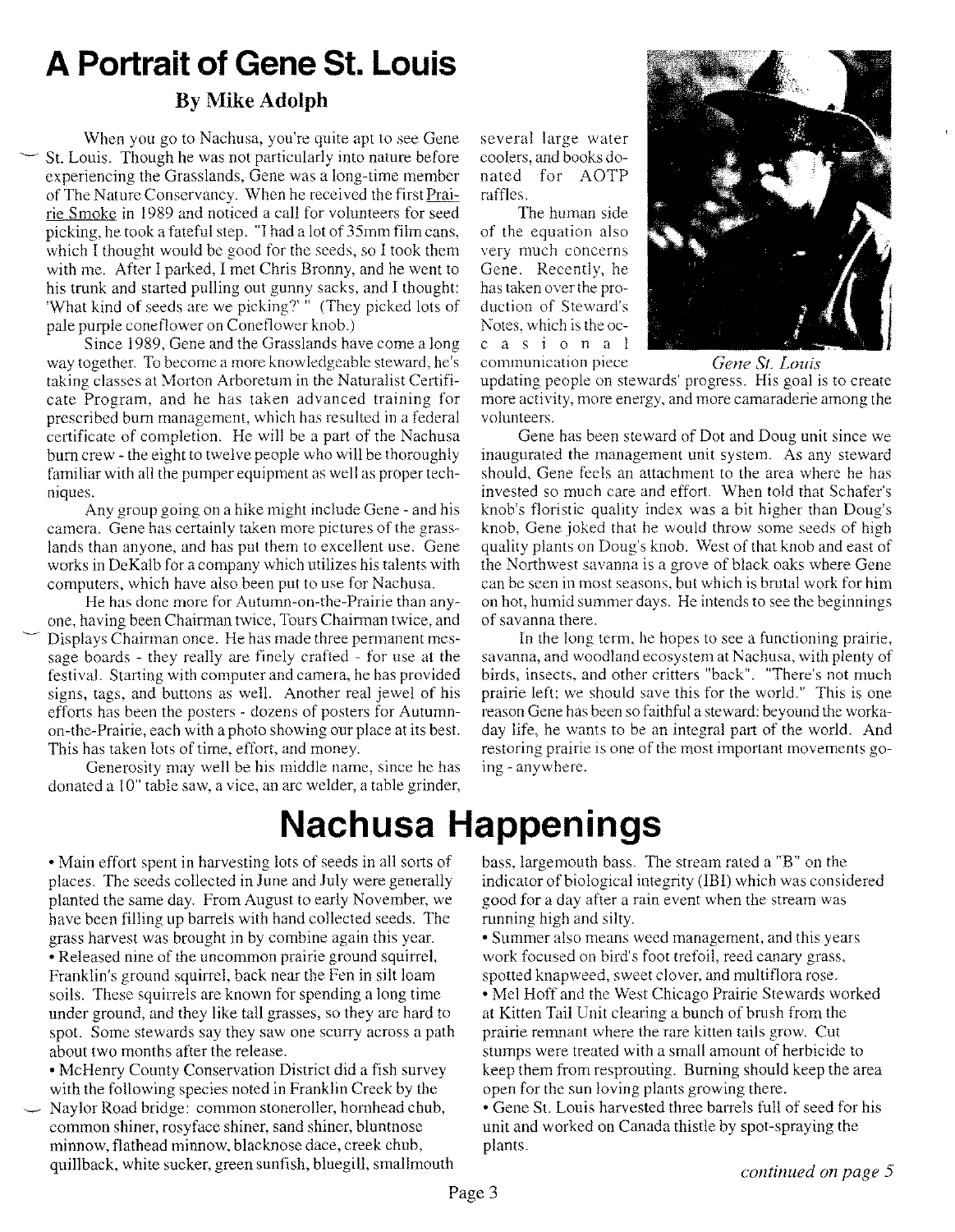# **A Portrait of Gene St. Louis**

### **By Mike Adolph**

When you go to Nachusa, you're quite apt to see Gene St. Louis. Though he was not particularly into nature before experiencing the Grasslands, Gene was a long-time member of The Nature Conservancy. When he received the firstPrairie Smoke in 1989 and noticed a call for volunteers for seed picking, he took a fateful step. "I had a lot of 35mm film cans, which I thought would be good for the seeds, so I took them with me. After I parked, I met Chris Bronny, and he went to his trunk and started pulling out gunny sacks, and I thought: 'What kind of seeds are we picking?'" (They picked lots of pale purple coneflower on Coneflower knob.)

Since 1989, Gene and the Grasslands have come a long way together. To become a more knowledgeable steward, he's taking classes at Morton Arboretum in the Naturalist Certificate Program, and he has taken advanced training for prescribed burn management, which has resulted in a federal certificate of completion. He will be a part of the Nachusa burn crew - the eight to twelve people who will be thoroughly familiar with all the pumper equipment as well as proper techniques.

Any group going on a hike might include Gene - and his camera. Gene has certainly taken more pictures of the grasslands than anyone, and has put them to excellent use. Gene works in DeKalb for a company which utilizes his talents with computers, which have also been put to use for Nachusa.

He has done more for Autumn-on-the-Prairie than anyone, having been Chairman twice, Tours Chairman twice, and ~ Displays Chairman once. He has made three permanent message boards - they really are finely crafted - for use at the festival. Starting with computer and camera, he has provided signs, tags, and buttons as well. Another real jewel of his efforts has been the posters - dozens of posters for Autumnon-the-Prairie, each with a photo showing our place at its best. This has taken lots of time, effort, and money.

Generosity may well be his middle name, since he has donated a 10" table saw, a vice, an arc welder, a table grinder, several large water coolers, and books donated for AOTP raffles.

The human side of the equation also very much concerns Gene. Recently, he has taken over the production of Steward's Notes, which is the occasional



communication piece *Gene Sf. Louis*

updating people on stewards' progress. His goal is to create more activity, more energy, and more camaraderie among the volunteers.

Gene has been steward of Dot and Doug unit since we inaugurated the management unit system. As any steward should, Gene feels an attachment to the area where he has invested so much care and effort. When told that Schafer's knob's floristic quality index was a bit higher than Doug's knob, Gene joked that he would throw some seeds of high quality plants on Doug's knob. West of that knob and east of the Northwest savanna is a grove of black oaks where Gene can be seen in most seasons, but which is brutal work for him on hot, humid summer days. He intends to see the beginnings of savanna there.

In the long term, he hopes to see a functioning prairie, savanna, and woodland ecosystem at Nachusa, with plenty of birds, insects, and other critters "back". "There's not much prairie left; we should save this for the world." This is one reason Gene has been so faithful a steward: beyound the workaday life, he wants to be an integral part of the world. And restoring prairie is one of the most important movements going - anywhere.

# **Nachusa Happenings**

• Main effort spent in harvesting lots of seeds in all sorts of places. The seeds collected in June and July were generally planted the same day. From August to early November, we have been filling up barrels with hand collected seeds. The grass harvest was brought in by combine again this year. • Released nine of the uncommon prairie ground squirrel, Franklin's ground squirrel, back near the Fen in silt loam soils. These squirrels are known for spending a long time under ground, and they like tall grasses, so they are hard to spot. Some stewards say they saw one scurry across a path about two months after the release.

• McHenry County Conservation District did a fish survey with the following species noted in Franklin Creek by the Naylor Road bridge: common stoneroller, hornhead chub, common shiner, rosyface shiner, sand shiner, bluntnose minnow, flathead minnow, blacknose dace, creek chub, quillback, white sucker, green sunfish, bluegill, smallmouth bass, largemouth bass. The stream rated a "B" on the indicator of biological integrity (IBI) which was considered good for a day after a rain event when the stream was running high and silty.

• Summer also means weed management, and this years work focused on bird's foot trefoil, reed canary grass, spotted knapweed, sweet clover, and multiflora rose.

• Mel Hoff and the West Chicago Prairie Stewards worked at Kitten Tail Unit clearing a bunch of brush from the prairie remnant where the rare kitten tails grow. Cut stumps were treated with a small amount of herbicide to keep them from resprouting. Burning should keep the area open for the sun loving plants growing there.

• Gene St. Louis harvested three barrels full of seed for his unit and worked on Canada thistle by spot-spraying the plants.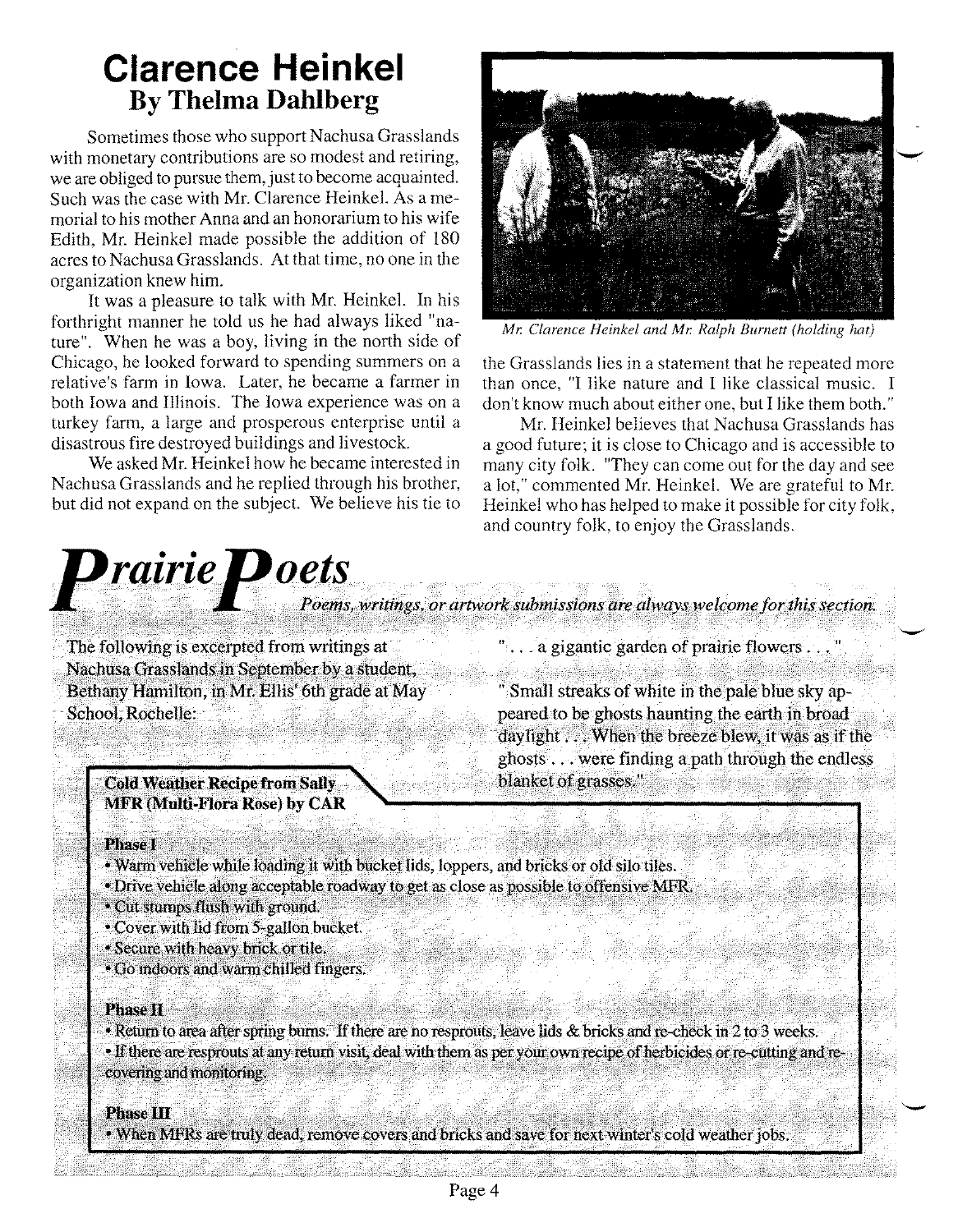# **Clarence Heinkel By Thelma Dahlberg**

Sometimes those who support Nachusa Grasslands with monetary contributions are so modest and retiring, we are obliged to pursue them, just to become acquainted. Such was the case with Mr. Clarence Heinkel. As a memorial to his mother Anna and an honorarium to his wife Edith, Mr. Heinkel made possible the addition of 180 acres to Nachusa Grasslands. At that time, no one in the organization knew him.

It was a pleasure to talk with Mr. Heinkel. **In** his forthright manner he told us he had always liked "nature". When he was a boy, living in the north side of Chicago, he looked forward to spending summers on a relative's farm in Iowa. Later, he became a farmer in both Iowa and Illinois. The Iowa experience was on a turkey farm, a large and prosperous enterprise until a disastrous fire destroyed buildings and livestock.

We asked Mr. Heinkel how he became interested in Nachusa Grasslands and he replied through his brother, but did not expand on the subject. We believe his tie to



*Mr. Clarence Heinkel and Mr. Ralph Burnett (holding hat)*

the Grasslands lies in a statement that he repeated more than once, "I like nature and I like classical music. I don't know much about either one, but I like them both."

Mr. Heinkel believes that Nachusa Grasslands has a good future; it is close to Chicago and is accessible to many city folk. "They can come out for the day and see a lot," commented Mr. Heinkel. We are grateful to Mr. Heinkel who has helped to make it possible for city folk, and country folk, to enjoy the Grasslands.

# $\boldsymbol{p}$ rairie $\boldsymbol{p}$ oets Poems, writings, or artwork submissions are always welcome for this section.

The following is excerpted from writings at Nachusa Grasslands in September by a student, Bethany Hamilton, in Mr. Ellis' 6th grade at May School, Rochelle:

> **Cold Weather Recipe from Sally MFR (Multi-Flora Rose) by CAR**

"... a gigantic garden of prairie flowers..."

" Small streaks of white in the pale blue sky appeared to be ghosts haunting the earth in broad daylight . . . When the breeze blew, it was as if the ghosts . . . were finding a path through the endless blanket of grasses "

#### **Phase I**

- . Warm vehicle while loading it with bucket lids, loppers, and bricks or old silo tiles.
- Drive vehicle along acceptable roadway to get as close as possible to offensive MFR.
- · Cut stumps flush with ground.
- Cover with lid from 5-gallon bucket.
- · Secure with heavy brick or tile.
- Go indoors and warm chilled fingers.

#### **Phase II**

• Return to area after spring burns. If there are no resprouts, leave lids & bricks and re-check in 2 to 3 weeks. • If there are resprouts at any return visit, deal with them as per your own recipe of herbicides or re-cutting and recovering and monitoring.

#### **Phase III**

• When MFRs are truly dead, remove covers and bricks and save for next winter's cold weather jobs.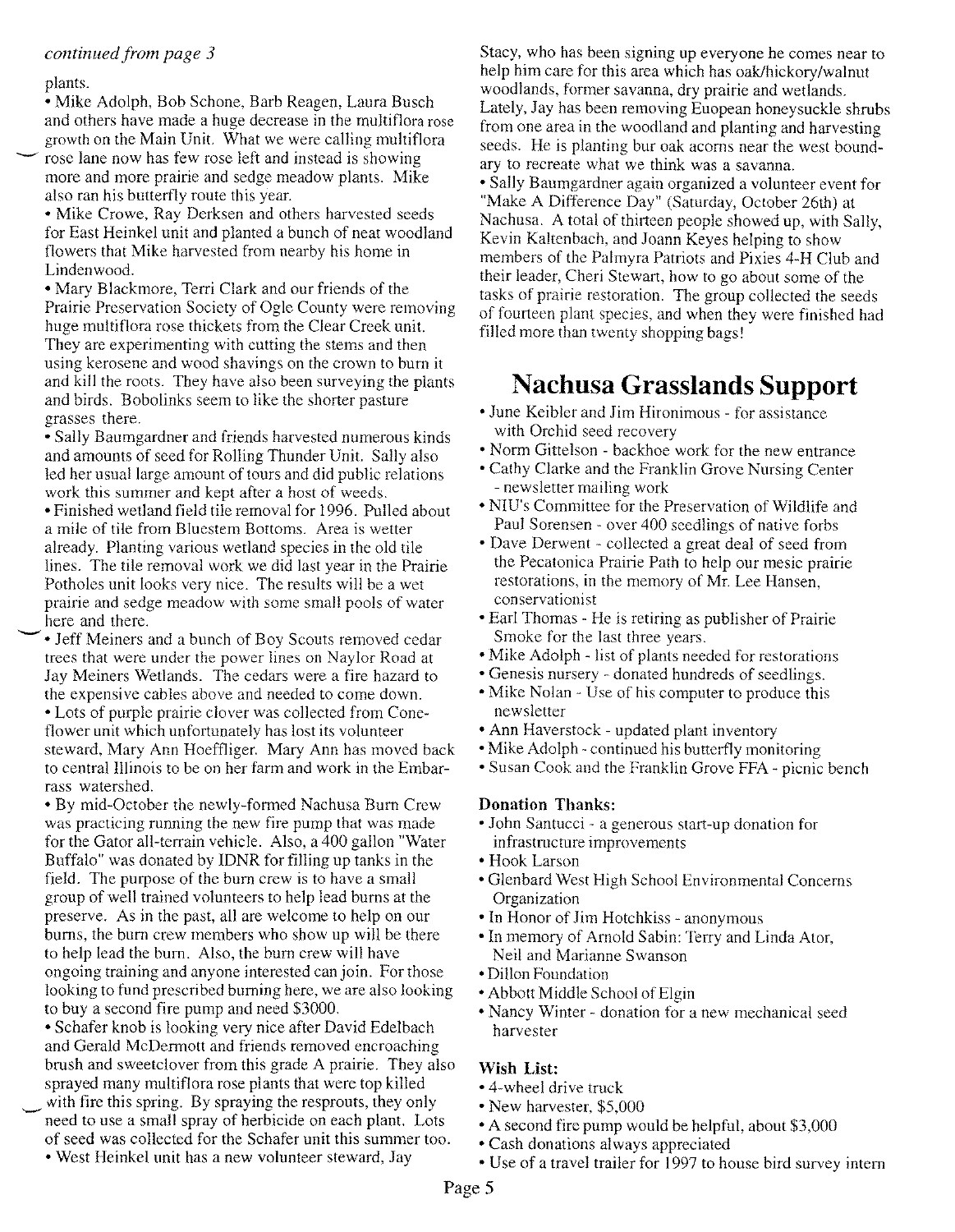#### *continued from page 3*

#### plants.

• Mike Adolph, Bob Schone, Barb Reagen, Laura Busch and others have made a huge decrease in the multiflora rose growth on the Main Unit. What we were calling multiflora rose lane now has few rose left and instead is showing more and more prairie and sedge meadow plants. Mike also ran his butterfly route this year.

• Mike Crowe, Ray Derksen and others harvested seeds for East Heinkel unit and planted a bunch of neat woodland flowers that Mike harvested from nearby his home in Lindenwood.

• Mary Blackmore, Terri Clark and our friends of the Prairie Preservation Society of Ogle County were removing huge multiflora rose thickets from the Clear Creek unit. They are experimenting with cutting the stems and then using kerosene and wood shavings on the crown to bum it and kill the roots. They have also been surveying the plants and birds. Bobolinks seem to like the shorter pasture grasses there.

• Sally Baumgardner and friends harvested numerous kinds and amounts of seed for Rolling Thunder Unit. Sally also led her usual large amount of tours and did public relations work this summer and kept after a host of weeds.

• Finished wetland field tile removal for 1996. Pulled about a mile of tile from Bluestem Bottoms. Area is wetter already. Planting various wetland species in the old tile lines. The tile removal work we did last year in the Prairie Potholes unit looks very nice. The results will be a wet prairie and sedge meadow with some small pools of water here and there.

- • Jeff Meiners and a bunch of Boy Scouts removed cedar trees that were under the power lines on Naylor Road at Jay Meiners Wetlands. The cedars were a fire hazard to the expensive cables above and needed to come down. • Lots of purple prairie clover was collected from Coneflower unit which unfortunately has lost its volunteer steward, Mary Ann Hoeffliger. Mary Ann has moved back to central Illinois to be on her farm and work in the Embarrass watershed.

• By mid-October the newly-formed Nachusa Bum Crew was practicing running the new fire pump that was made for the Gator all-terrain vehicle. Also, a 400 gallon "Water Buffalo" was donated by IDNR for filling up tanks in the field. The purpose of the bum crew is to have a small group of well trained volunteers to help lead bums at the preserve. As in the past, all are welcome to help on our bums, the bum crew members who show up will be there to help lead the bum. Also, the bum crew will have ongoing training and anyone interested can join. For those looking to fund prescribed burning here, we are also looking to buy a second fire pump and need \$3000.

• Schafer knob is looking very nice after David Edelbach and Gerald McDermott and friends removed encroaching brush and sweetclover from this grade A prairie. They also sprayed many multiflora rose plants that were top killed with fire this spring. By spraying the resprouts, they only need to use a small spray of herbicide on each plant. Lots of seed was collected for the Schafer unit this summer too.

• West Heinkel unit has a new volunteer steward, Jay

Stacy, who has been signing up everyone he comes near to help him care for this area which has oak/hickory/walnut woodlands, former savanna, dry prairie and wetlands. Lately, Jay has been removing Euopean honeysuckle shrubs from one area in the woodland and planting and harvesting seeds. He is planting bur oak acorns near the west boundary to recreate what we think was a savanna.

• Sally Baumgardner again organized a volunteer event for "Make A Difference Day" (Saturday, October 26th) at Nachusa. A total of thirteen people showed up, with Sally, Kevin Kaltenbach, and Joann Keyes helping to show members of the Palmyra Patriots and Pixies 4-H Club and their leader, Cheri Stewart, how to go about some of the tasks of prairie restoration. The group collected the seeds of fourteen plant species, and when they were finished had filled more than twenty shopping bags!

## **Nachusa Grasslands Support**

- June Keibler and Jim Hironimous for assistance with Orchid seed recovery
- Norm Gittelson backhoe work for the new entrance
- Cathy Clarke and the Franklin Grove Nursing Center - newsletter mailing work
- NIU's Committee for the Preservation of Wildlife and Paul Sorensen - over 400 seedlings of native forbs
- Dave Derwent collected a great deal of seed from the Pecatonica Prairie Path to help our mesic prairie restorations, in the memory of Mr. Lee Hansen, conservationist
- Earl Thomas He is retiring as publisher of Prairie Smoke for the last three years.
- Mike Adolph list of plants needed for restorations
- Genesis nursery donated hundreds of seedlings.
- Mike Nolan Use of his computer to produce this newsletter
- Ann Haverstock updated plant inventory
- Mike Adolph continued his butterfly monitoring
- Susan Cook and the Franklin Grove FFA picnic bench

#### **Donation Thanks:**

- John Santucci a generous start-up donation for infrastructure improvements
- Hook Larson
- Glenbard West High School Environmental Concerns **Organization**
- In Honor of Jim Hotchkiss anonymous
- In memory of Arnold Sabin: Terry and Linda Ator, Neil and Marianne Swanson
- Dillon Foundation
- Abbott Middle School of Elgin
- Nancy Winter donation for a new mechanical seed harvester

#### **Wish List:**

- 4-wheel drive truck
- New harvester, \$5,000
- A second fire pump would be helpful, about \$3,000
- Cash donations always appreciated
- Use of a travel trailer for 1997 to house bird survey intern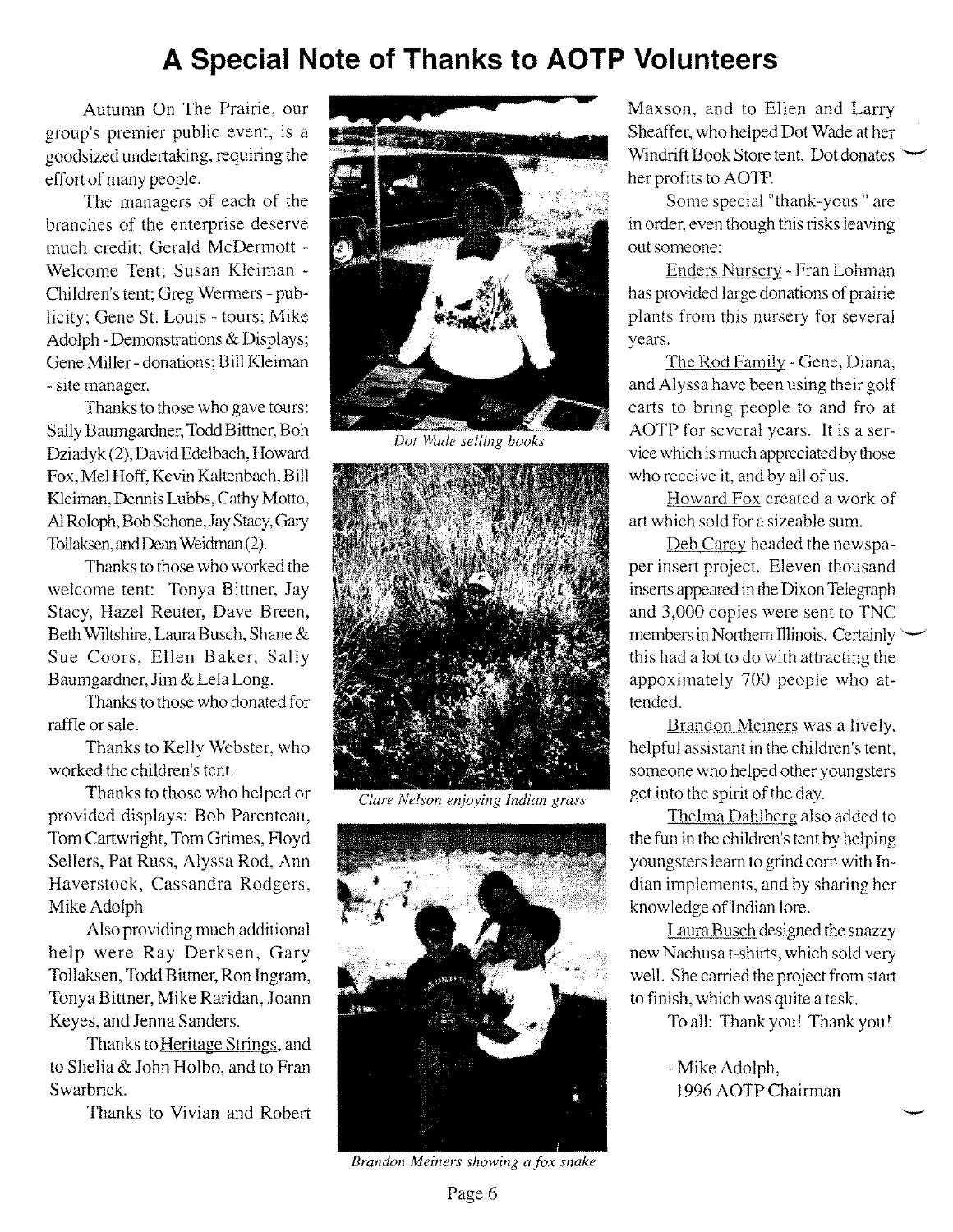## **A Special Note of Thanks to AOTP Volunteers**

Autumn On The Prairie, our group's premier public event, is a goodsized undertaking, requiring the effort of many people.

The managers of each of the branches of the enterprise deserve much credit; Gerald McDermott - Welcome Tent; Susan Kleiman - Children's tent; Greg Wermers - publicity; Gene St. Louis - tours; Mike Adolph -Demonstrations & Displays; Gene Miller - donations; Bill Kleiman - site manager.

Thanks to those who gave tours: Sally Baumgardner, Todd Bittner, Boh Dziadyk (2),David Edelbach, Howard Fox, Mel Hoff, Kevin Kaltenbach, Bill Kleiman, Dennis Lubbs, Cathy Motto, AIRoloph,Bob Schone,JayStacy,Gary Tollaksen,andDeanWeidman(2).

Thanks to those who worked the welcome tent: Tonya Bittner, Jay Stacy, Hazel Reuter, Dave Breen, Beth Wiltshire,Laura Busch, Shane & Sue Coors, Ellen Baker, Sally Baumgardner, Jim & Lela Long.

Thanks to those who donated for raffle or sale.

Thanks to Kelly Webster, who worked the children's tent.

Thanks to those who helped or provided displays: Bob Parenteau, Tom Cartwright, Tom Grimes, Floyd Sellers, Pat Russ, Alyssa Rod, Ann Haverstock, Cassandra Rodgers, Mike Adolph

Also providing much additional help were Ray Derksen, Gary Tollaksen, Todd Bittner, Ron Ingram, TonyaBittner, Mike Raridan, Joann Keyes, and Jenna Sanders.

Thanks to Heritage Strings, and to Shelia & John Holbo, and to Fran Swarbrick.

Thanks to Vivian and Robert



*Dot Wade selling books*



*Clare Nelson enjoying Indian grass*



*Brandon Meiners showing a fox snake*

Maxson, and to Ellen and Larry Sheaffer, who helped Dot Wade at her Windrift Book Store tent. Dot donates her profits to AOTP.

Some special "thank-yous " are in order, even though this risks leaving out someone:

Enders Nursery - Fran Lohman has provided large donations of prairie plants from this nursery for several years.

The Rod Family - Gene, Diana, and Alyssa have been using their golf carts to bring people to and fro at AOTP for several years. It is a service which is much appreciated by those who receive it, and by all of us.

Howard Fox created a work of art which sold for a sizeable sum.

Deb Carey headed the newspaper insert project. Eleven-thousand inserts appeared in the Dixon Telegraph and 3,000 copies were sent to TNC members in Northern Illinois. Certainly  $\backslash$ this had a lot to do with attracting the appoximately 700 people who attended.

Brandon Meiners was a lively, helpful assistant in the children's tent, someone who helped other youngsters get into the spirit of the day.

Thelma Dahlberg also added to the fun in the children's tent by helping youngsters learn to grind com with Indian implements, and by sharing her knowledge of Indian lore.

Laura Busch designed the snazzy new Nachusa t-shirts, which sold very well. She carried the project from start to finish, which was quite a task.

To all: Thank you! Thank you!

- Mike Adolph, 1996 AOTP Chairman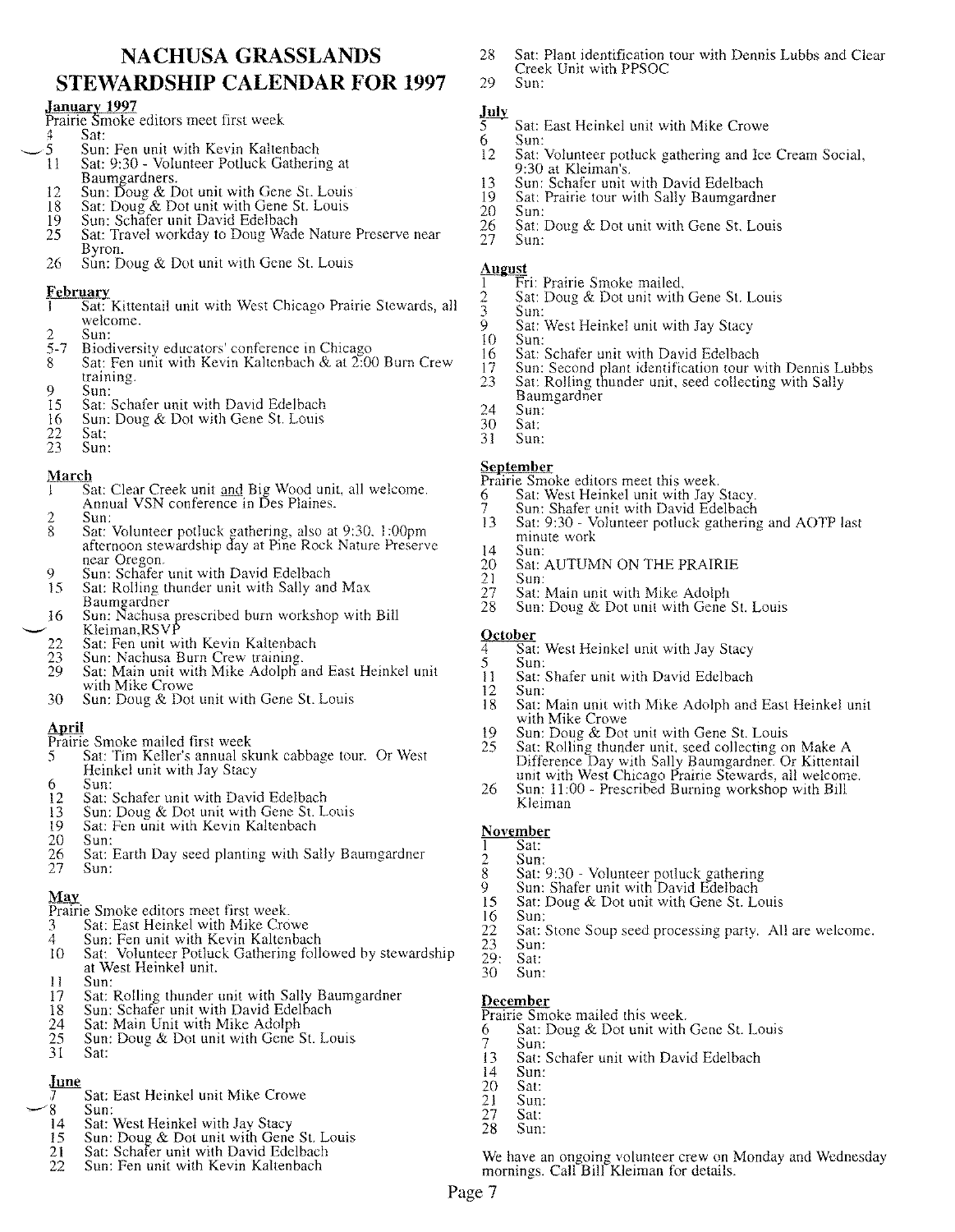#### **NACHUSA GRASSLANDS STEWARDSHIP CALENDAR FOR 1997**

#### **January 1997 . .**

- Prairie Smoke editors meet first week
- $\frac{4}{5}$  Sat:
- $\sim$  5 Sun: Fen unit with Kevin Kaltenbac 11 Sat: 9:30 - Volunteer Potluck Gathering at Baumgardners. .
	- 12 Sun: Doug & Dot unit with Gene St. Louis 18 Sat: Doug & Dot unit with Gene St. Louis
	- 18 Sat: Doug & Dot unit with Gene St. Louis
	- 19 Sun: Schafer unit David Edelbach
	- 25 Sat: Travel workday to Doug Wade Nature Preserve near Byron. .
	- 26 Sun: Doug  $\&$  Dot unit with Gene St. Louis

- **February ... . ..** 1 Sat: Kittentail Unit with West Chicago Prairie Stewards, all welcome.
- 
- $\begin{array}{cc} 2 & \text{Sun:} \\ 5-7 & \text{Biod} \end{array}$
- 5-7 Biodiversity educators' conference in Chicago<br>8 Sat: Fen unit with Kevin Kaltenbach & at 2:0 8 Sat: Fen unit with Kevin Kaltenbach & at 2:00 Burn Crew training.
- 9 Sun:<br>15 Sat:
- 15 Sat: Schafer unit with David Edelbach 16 Sun: Doug & Dot with Gene St. Louis 16 Sun: Doug & Dot with Gene St. Louis<br>22 Sat:
- 
- $\frac{22}{23}$  Sat:<br> $\frac{23}{23}$  Sun: Sun:

#### **March**

- $\overline{1-\overline{S}}$ at: Clear Creek unit and Big Wood unit, all welcome. Annual VSN conference in Des Plaines.
- 2 Sun:<br>8 Sat:
- 8 Sat: Volunteer potluck gathering, also at 9:30, 1:00pm afternoon stewardship day at Pine Rock Nature Preserve near Oregon.
- 9 Sun: Schafer unit with David Edelbach<br>15 Sat: Rolling thunder unit with Sally and
- Sat: Rolling thunder unit with Sally and Max Baumzardner
- 16 Sun: Nachusa prescribed burn workshop with Bill  $\smile$  Kleiman,RSV
	- 22 Sat: Fen unit with Kevin Kaltenbach<br>23 Sun: Nachusa Burn Crew training.
	- 23 Sun: Nachusa Burn Crew training.<br>29 Sat: Main unit with Mike Adolph a
	- Sat: Main unit with Mike Adolph and East Heinkel unit with Mike Crowe
	- 30 Sun: Doug & Dot unit with Gene St. Louis

#### **April**

- Prairie Smoke mailed first week
- 5 Sat: Tim Keller's annual skunk cabbage tour. Or West Heinkel unit with Jay Stacy
- 6 Sun:<br>12 Sat:
- 12 Sat: Schafer unit with David Edelbach<br>13 Sun: Doug & Dot unit with Gene St. L
- 13 Sun: Doug & Dot unit with Gene St. Louis<br>19 Sat: Fen unit with Kevin Kaltenbach
- 19 Sat: Fen unit with Kevin Kaltenbach<br>20 Sun:
- 
- 20 Sun:<br>
26 Sat:<br>
27 Sun: Sat: Earth Day seed planting with Sally Baumgardner Sun:

- **May .** Prairie Smoke editors meet first week.
- 3 Sat: East Heinkel with Mike Crowe
- 
- 4 Sun: Fen unit with Kevin Kaltenbach 10 Sat: Volunteer Potluck Gathering follow 10 Sat: Volunteer Potluck Gathering followed by stewardship at West Heinkel unit.
- 11 Sun:<br>17 Sat:
- Sat: Rolling thunder unit with Sally Baumgardner
- 18 Sun: Schafer unit with David Edelbach<br>24 Sat: Main Unit with Mike Adolph
- 24 Sat: Main Unit with Mike Adolph<br>25 Sun: Doug & Dot unit with Gene S
- 25 Sun: Doug & Dot unit with Gene St. Louis  $31$  Sat:
- Sat:

#### **June**

#### Sat: East Heinkel unit Mike Crowe  $8$  Sun:

- 14 Sat: West Heinkel with Jay Stacy<br>15 Sun: Doug & Dot unit with Gene
- 
- 15 Sun: Doug & Dot unit with Gene St. Louis<br>
21 Sat: Schafer unit with David Edelbach<br>
22 Sun: Fen unit with Kevin Kaltenbach Sat: Schafer unit with David Edelbach
- Sun: Fen unit with Kevin Kaltenbach
- 28 Sat: Plant identification tour with Dennis Lubbs and Clear Creek Unit with PPSOC
- 29 Sun:

- **July**<br>5 Sat: East Heinkel unit with Mike Crowe
- 6 Sun:<br>12 Sat: Sat: Volunteer potluck gathering and Ice Cream Social, 9:30 at Kleiman's.
- 13 Sun: Schafer unit with David Edelbach<br>19 Sat: Prairie tour with Sally Baumgardn
- 19 Sat: Prairie tour with Sally Baumgardner
- 20 Sun:<br>26 Sat: 27 Sun:
- Sat: Doug & Dot unit with Gene St. Louis
- Sun:

#### **AUlmst**

- $\overline{1}$  Fri: Prairie Smoke mailed.<br>2 Sat: Doug & Dot unit with
- 2 Sat: Doug & Dot unit with Gene St. Louis
- 3 Sun:<br>9 Sat: 9 Sat: West Heinkel unit with Jay Stacy<br>10 Sun:
- 
- 10 Sun:<br>16 Sat:
- 16 Sat: Schafer unit with David Edelbach<br>17 Sun: Second plant identification tour w 17 Sun: Second plant identification tour with Dennis Lubbs 23 Sat: Rolling thunder unit, seed collecting with Sally
- Sat: Rolling thunder unit, seed collecting with Sally Baumgardner
- $\frac{24}{30}$  Sun:
- 30 Sat:
- Sun.

#### **September**

- Prairie Smoke editors meet this week.
- 6 Sat: West Heinkel unit with Jay Stacy.
- 7 Sun: Shafer unit with David Edelbach 13 Sat: 9:30 - Volunteer potluck gathering and AOTP last minute work
- 14 Sun:<br>20 Sat:
- 20 Sat: AUTUMN ON THE PRAIRIE<br>21 Sun:<br>27 Sat: Main unit with Mike Adolph
- Sun:
- 27 Sat: Main unit with Mike Adolph<br>28 Sun: Doug & Dot unit with Gene Sun: Doug & Dot unit with Gene St. Louis
- 

## **October**<br>4 Sat

- 4 Sat: West Heinkel unit with Jay Stacy
- 5 Sun: 11 Sat: Shafer unit with David Edelbach<br>12 Sun:
- 
- 12 Sun: Sat: Main unit with Mike Adolph and East Heinkel unit with Mike Crowe
- 19 Sun: Doug & Dot unit with Gene St. Louis<br>25 Sat: Rolling thunder unit, seed collecting of
- 25 Sat: Rolling thunder unit, seed collecting on Make A Difference Day with Sally Baumgardner. Or Kittentail unit with West Chicago Prairie Stewards, all welcome.
- 26 Sun: 11:00 Prescribed Burning workshop with Bill Kleiman

Sat: Stone Soup seed processing party. All are welcome.

We have an ongoing volunteer crew on Monday and Wednesday

#### **November**

1 Sat:

23 Sun:<br>29: Sat: 29: Sat:<br>30 Sun: 30 Sun:

**December**

7 Sun:<br>13 Sat:

14 Sun: 20 Sat:<br>
21 Sun:<br>
27 Sat: Sun: 27 Sat:<br>28 Sun:  $Sun:$ 

Page 7

- $\begin{array}{cc} 2 & \text{Sun:} \\ 8 & \text{Sat:} \\ 9 & \text{Sun:} \end{array}$ 8 Sat: 9:30 - Volunteer potluck gathering
- 9 Sun: Shafer unit with David Edelbach
- 15 Sat: Doug & Dot unit with Gene St. Louis

6 Sat: Doug & Dot unit with Gene St. Louis

13 Sat: Schafer unit with David Edelbach<br>14 Sun:

mornings. Call Bill Kleiman for details.

16 Sun:<br>22 Sat:<br>23 Sun:

Prairie Smoke mailed this week.